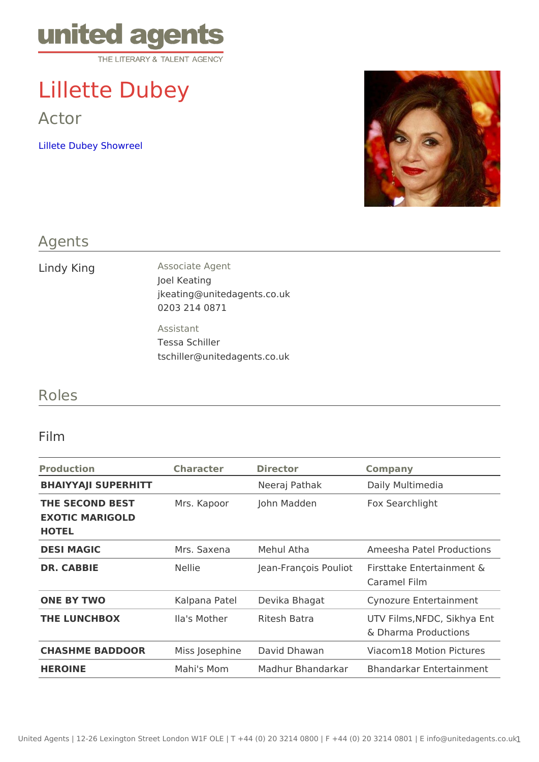# Lillette Dubey

Actor

[Lillete Dubey Sh](https://vimeo.com/136611644)owreel

#### Agents

| Lindy King | Associate Agent             |
|------------|-----------------------------|
|            | Joel Keating                |
|            | jkeating@unitedagents.co.uk |
|            | 0203 214 0871               |
|            | Assistant                   |
|            | Tessa Schiller              |

tschiller@unitedagents.co.uk

### Roles

#### Film

| Production Character Director                                       |        |                           | Company                                                  |
|---------------------------------------------------------------------|--------|---------------------------|----------------------------------------------------------|
| BHAIYYAJI SUPERHITT                                                 |        | Neeraj Pathak             | Daily Multimedia                                         |
| THE SECOND BEST Mrs. Kapoor John Madden<br>EXOTIC MARIGOLD<br>HOTEL |        |                           | Fox Searchlight                                          |
| <b>DESI MAGIC</b>                                                   |        |                           | Mrs. Saxena Mehul Atha Ameesha Patel Production;         |
| DR. CABBIE                                                          | Nellie |                           | Jean-François Polisional Entertainment &<br>Caramel Film |
| ONE BY TWO                                                          |        | Kalpana PateDevika Bhagat | Cynozure Entertainment                                   |
| THE LUNCHBOX                                                        |        | Ila's Mother Ritesh Batra | UTV Films, NFDC, Sikhya E<br>& Dharma Productions        |
| CHASHME BADDOOR Miss JosephiDeavid Dhawan                           |        |                           | Viacom18 Motion Pictures                                 |
| HEROINE                                                             |        |                           | Mahi's Mom Madhur BhandarkBhandarkar Entertainment       |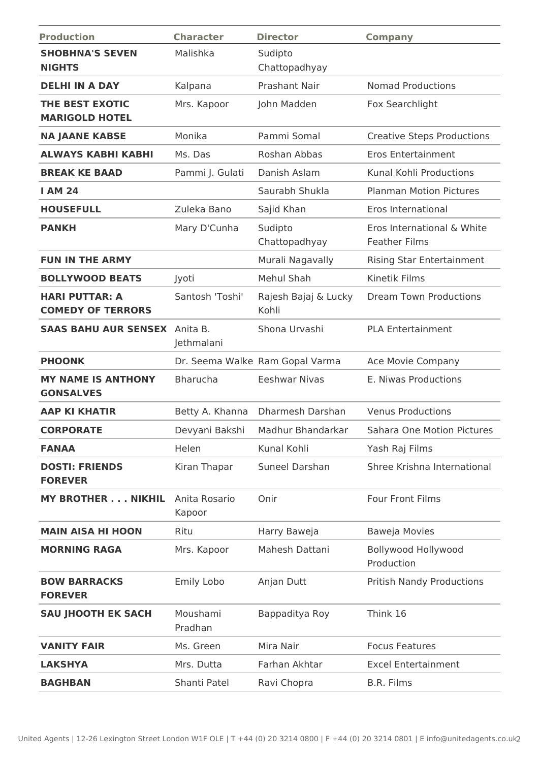| <b>Production</b>                                 | <b>Character</b>        | <b>Director</b>                 | <b>Company</b>                                     |
|---------------------------------------------------|-------------------------|---------------------------------|----------------------------------------------------|
| <b>SHOBHNA'S SEVEN</b><br><b>NIGHTS</b>           | Malishka                | Sudipto<br>Chattopadhyay        |                                                    |
| <b>DELHI IN A DAY</b>                             | Kalpana                 | <b>Prashant Nair</b>            | <b>Nomad Productions</b>                           |
| THE BEST EXOTIC<br><b>MARIGOLD HOTEL</b>          | Mrs. Kapoor             | John Madden                     | Fox Searchlight                                    |
| <b>NA JAANE KABSE</b>                             | Monika                  | Pammi Somal                     | <b>Creative Steps Productions</b>                  |
| <b>ALWAYS KABHI KABHI</b>                         | Ms. Das                 | Roshan Abbas                    | <b>Eros Entertainment</b>                          |
| <b>BREAK KE BAAD</b>                              | Pammi J. Gulati         | Danish Aslam                    | Kunal Kohli Productions                            |
| <b>I AM 24</b>                                    |                         | Saurabh Shukla                  | <b>Planman Motion Pictures</b>                     |
| <b>HOUSEFULL</b>                                  | Zuleka Bano             | Sajid Khan                      | Eros International                                 |
| <b>PANKH</b>                                      | Mary D'Cunha            | Sudipto<br>Chattopadhyay        | Eros International & White<br><b>Feather Films</b> |
| <b>FUN IN THE ARMY</b>                            |                         | Murali Nagavally                | Rising Star Entertainment                          |
| <b>BOLLYWOOD BEATS</b>                            | Jyoti                   | Mehul Shah                      | Kinetik Films                                      |
| <b>HARI PUTTAR: A</b><br><b>COMEDY OF TERRORS</b> | Santosh 'Toshi'         | Rajesh Bajaj & Lucky<br>Kohli   | <b>Dream Town Productions</b>                      |
| <b>SAAS BAHU AUR SENSEX</b>                       | Anita B.<br>Jethmalani  | Shona Urvashi                   | <b>PLA Entertainment</b>                           |
| <b>PHOONK</b>                                     |                         | Dr. Seema Walke Ram Gopal Varma | Ace Movie Company                                  |
| <b>MY NAME IS ANTHONY</b><br><b>GONSALVES</b>     | <b>Bharucha</b>         | <b>Eeshwar Nivas</b>            | E. Niwas Productions                               |
| <b>AAP KI KHATIR</b>                              | Betty A. Khanna         | Dharmesh Darshan                | <b>Venus Productions</b>                           |
| <b>CORPORATE</b>                                  | Devyani Bakshi          | Madhur Bhandarkar               | Sahara One Motion Pictures                         |
| <b>FANAA</b>                                      | Helen                   | Kunal Kohli                     | Yash Raj Films                                     |
| <b>DOSTI: FRIENDS</b><br><b>FOREVER</b>           | Kiran Thapar            | Suneel Darshan                  | Shree Krishna International                        |
| MY BROTHER NIKHIL                                 | Anita Rosario<br>Kapoor | Onir                            | <b>Four Front Films</b>                            |
| <b>MAIN AISA HI HOON</b>                          | Ritu                    | Harry Baweja                    | Baweja Movies                                      |
| <b>MORNING RAGA</b>                               | Mrs. Kapoor             | Mahesh Dattani                  | <b>Bollywood Hollywood</b><br>Production           |
| <b>BOW BARRACKS</b><br><b>FOREVER</b>             | Emily Lobo              | Anjan Dutt                      | <b>Pritish Nandy Productions</b>                   |
| <b>SAU JHOOTH EK SACH</b>                         | Moushami<br>Pradhan     | Bappaditya Roy                  | Think 16                                           |
| <b>VANITY FAIR</b>                                | Ms. Green               | Mira Nair                       | <b>Focus Features</b>                              |
| <b>LAKSHYA</b>                                    | Mrs. Dutta              | Farhan Akhtar                   | <b>Excel Entertainment</b>                         |
| <b>BAGHBAN</b>                                    | Shanti Patel            | Ravi Chopra                     | <b>B.R. Films</b>                                  |